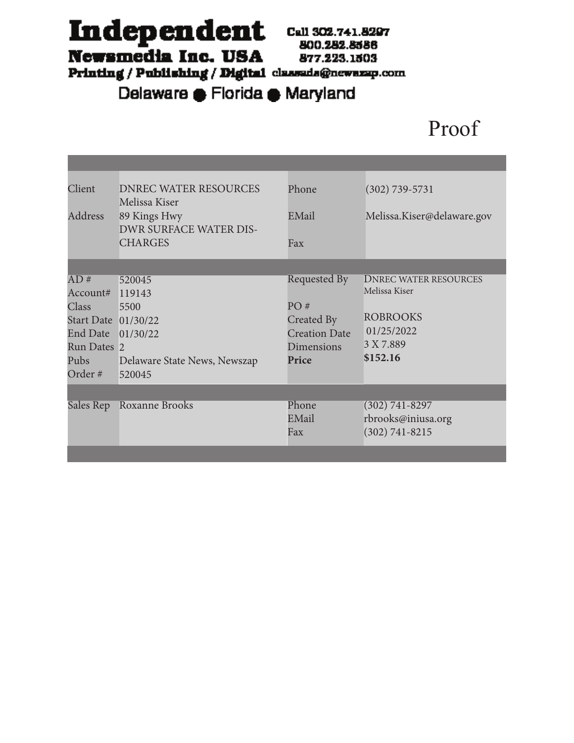Independent Call 302.741.8297

Newsmedia Inc. USA

800.282.8586 877.223.1503

Printing / Publishing / Digital classeds@newszep.com

Delaware e Florida e Maryland

# Proof

| Client<br>Address   | <b>DNREC WATER RESOURCES</b><br>Melissa Kiser<br>89 Kings Hwy | Phone<br>EMail       | $(302) 739 - 5731$<br>Melissa.Kiser@delaware.gov |
|---------------------|---------------------------------------------------------------|----------------------|--------------------------------------------------|
|                     | <b>DWR SURFACE WATER DIS-</b>                                 |                      |                                                  |
|                     | <b>CHARGES</b>                                                | Fax                  |                                                  |
|                     |                                                               |                      |                                                  |
| AD#                 | 520045                                                        | Requested By         | <b>DNREC WATER RESOURCES</b>                     |
| Account# 119143     |                                                               |                      | Melissa Kiser                                    |
| <b>Class</b>        | 5500                                                          | PO#                  |                                                  |
| Start Date 01/30/22 |                                                               | Created By           | <b>ROBROOKS</b>                                  |
| End Date            | 01/30/22                                                      | <b>Creation Date</b> | 01/25/2022                                       |
| Run Dates 2         |                                                               | Dimensions           | 3 X 7.889                                        |
| Pubs                | Delaware State News, Newszap                                  | Price                | \$152.16                                         |
| Order #             | 520045                                                        |                      |                                                  |
|                     |                                                               |                      |                                                  |
|                     | Sales Rep Roxanne Brooks                                      | Phone                | $(302) 741 - 8297$                               |
|                     |                                                               | EMail                | rbrooks@iniusa.org                               |
|                     |                                                               | Fax                  | $(302) 741 - 8215$                               |
|                     |                                                               |                      |                                                  |